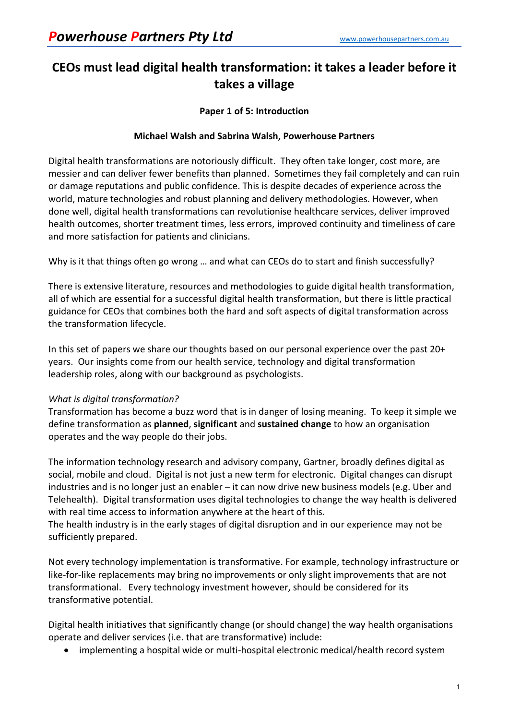# **CEOs must lead digital health transformation: it takes a leader before it takes a village**

## **Paper 1 of 5: Introduction**

## **Michael Walsh and Sabrina Walsh, Powerhouse Partners**

Digital health transformations are notoriously difficult. They often take longer, cost more, are messier and can deliver fewer benefits than planned. Sometimes they fail completely and can ruin or damage reputations and public confidence. This is despite decades of experience across the world, mature technologies and robust planning and delivery methodologies. However, when done well, digital health transformations can revolutionise healthcare services, deliver improved health outcomes, shorter treatment times, less errors, improved continuity and timeliness of care and more satisfaction for patients and clinicians.

Why is it that things often go wrong … and what can CEOs do to start and finish successfully?

There is extensive literature, resources and methodologies to guide digital health transformation, all of which are essential for a successful digital health transformation, but there is little practical guidance for CEOs that combines both the hard and soft aspects of digital transformation across the transformation lifecycle.

In this set of papers we share our thoughts based on our personal experience over the past 20+ years. Our insights come from our health service, technology and digital transformation leadership roles, along with our background as psychologists.

### *What is digital transformation?*

Transformation has become a buzz word that is in danger of losing meaning. To keep it simple we define transformation as **planned**, **significant** and **sustained change** to how an organisation operates and the way people do their jobs.

The information technology research and advisory company, Gartner, broadly defines digital as social, mobile and cloud. Digital is not just a new term for electronic. Digital changes can disrupt industries and is no longer just an enabler – it can now drive new business models (e.g. Uber and Telehealth). Digital transformation uses digital technologies to change the way health is delivered with real time access to information anywhere at the heart of this.

The health industry is in the early stages of digital disruption and in our experience may not be sufficiently prepared.

Not every technology implementation is transformative. For example, technology infrastructure or like-for-like replacements may bring no improvements or only slight improvements that are not transformational. Every technology investment however, should be considered for its transformative potential.

Digital health initiatives that significantly change (or should change) the way health organisations operate and deliver services (i.e. that are transformative) include:

• implementing a hospital wide or multi-hospital electronic medical/health record system